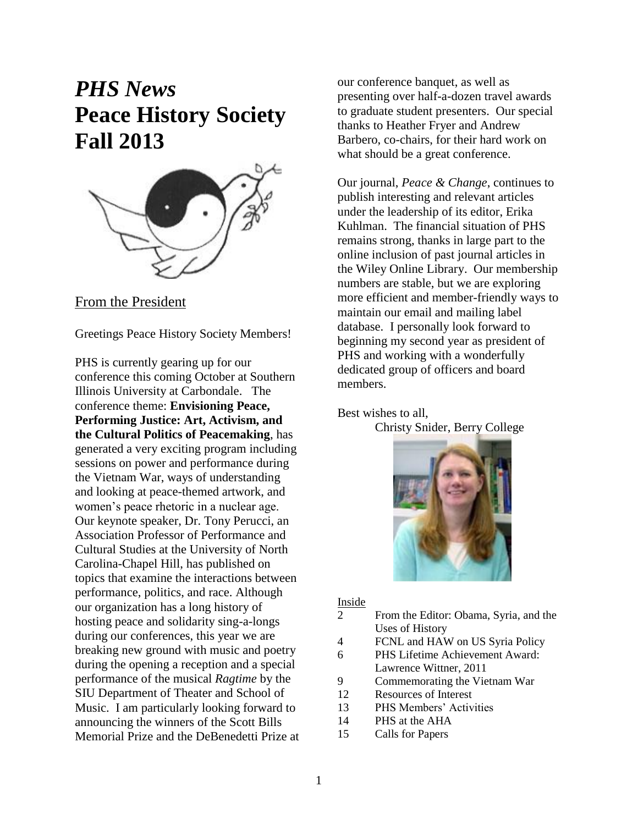# *PHS News* **Peace History Society Fall 2013**



From the President

Greetings Peace History Society Members!

PHS is currently gearing up for our conference this coming October at Southern Illinois University at Carbondale. The conference theme: **Envisioning Peace, Performing Justice: Art, Activism, and the Cultural Politics of Peacemaking**, has generated a very exciting program including sessions on power and performance during the Vietnam War, ways of understanding and looking at peace-themed artwork, and women's peace rhetoric in a nuclear age. Our keynote speaker, Dr. Tony Perucci, an Association Professor of Performance and Cultural Studies at the University of North Carolina-Chapel Hill, has published on topics that examine the interactions between performance, politics, and race. Although our organization has a long history of hosting peace and solidarity sing-a-longs during our conferences, this year we are breaking new ground with music and poetry during the opening a reception and a special performance of the musical *Ragtime* by the SIU Department of Theater and School of Music. I am particularly looking forward to announcing the winners of the Scott Bills Memorial Prize and the DeBenedetti Prize at our conference banquet, as well as presenting over half-a-dozen travel awards to graduate student presenters. Our special thanks to Heather Fryer and Andrew Barbero, co-chairs, for their hard work on what should be a great conference.

Our journal, *Peace & Change*, continues to publish interesting and relevant articles under the leadership of its editor, Erika Kuhlman. The financial situation of PHS remains strong, thanks in large part to the online inclusion of past journal articles in the Wiley Online Library. Our membership numbers are stable, but we are exploring more efficient and member-friendly ways to maintain our email and mailing label database. I personally look forward to beginning my second year as president of PHS and working with a wonderfully dedicated group of officers and board members.

Best wishes to all,

Christy Snider, Berry College



## Inside

- 2 From the Editor: Obama, Syria, and the Uses of History
- 4 FCNL and HAW on US Syria Policy
- 6 PHS Lifetime Achievement Award: Lawrence Wittner, 2011
- 9 Commemorating the Vietnam War
- 12 Resources of Interest
- 13 PHS Members' Activities
- 14 PHS at the AHA
- 15 Calls for Papers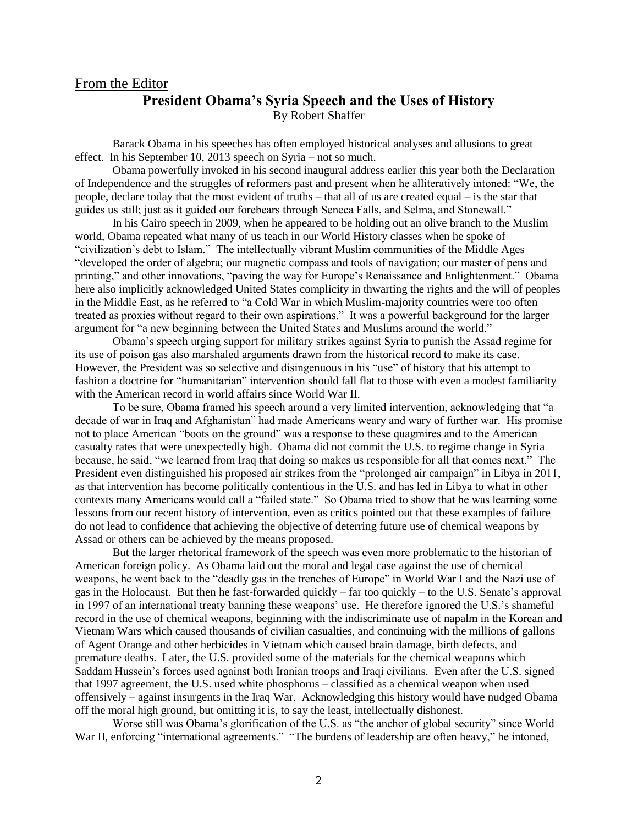## From the Editor **President Obama's Syria Speech and the Uses of History** By Robert Shaffer

Barack Obama in his speeches has often employed historical analyses and allusions to great effect. In his September 10, 2013 speech on Syria – not so much.

Obama powerfully invoked in his second inaugural address earlier this year both the Declaration of Independence and the struggles of reformers past and present when he alliteratively intoned: "We, the people, declare today that the most evident of truths – that all of us are created equal – is the star that guides us still; just as it guided our forebears through Seneca Falls, and Selma, and Stonewall."

In his Cairo speech in 2009, when he appeared to be holding out an olive branch to the Muslim world, Obama repeated what many of us teach in our World History classes when he spoke of "civilization's debt to Islam." The intellectually vibrant Muslim communities of the Middle Ages "developed the order of algebra; our magnetic compass and tools of navigation; our master of pens and printing," and other innovations, "paving the way for Europe's Renaissance and Enlightenment." Obama here also implicitly acknowledged United States complicity in thwarting the rights and the will of peoples in the Middle East, as he referred to "a Cold War in which Muslim-majority countries were too often treated as proxies without regard to their own aspirations." It was a powerful background for the larger argument for "a new beginning between the United States and Muslims around the world."

Obama's speech urging support for military strikes against Syria to punish the Assad regime for its use of poison gas also marshaled arguments drawn from the historical record to make its case. However, the President was so selective and disingenuous in his "use" of history that his attempt to fashion a doctrine for "humanitarian" intervention should fall flat to those with even a modest familiarity with the American record in world affairs since World War II.

To be sure, Obama framed his speech around a very limited intervention, acknowledging that "a decade of war in Iraq and Afghanistan" had made Americans weary and wary of further war. His promise not to place American "boots on the ground" was a response to these quagmires and to the American casualty rates that were unexpectedly high. Obama did not commit the U.S. to regime change in Syria because, he said, "we learned from Iraq that doing so makes us responsible for all that comes next." The President even distinguished his proposed air strikes from the "prolonged air campaign" in Libya in 2011, as that intervention has become politically contentious in the U.S. and has led in Libya to what in other contexts many Americans would call a "failed state." So Obama tried to show that he was learning some lessons from our recent history of intervention, even as critics pointed out that these examples of failure do not lead to confidence that achieving the objective of deterring future use of chemical weapons by Assad or others can be achieved by the means proposed.

But the larger rhetorical framework of the speech was even more problematic to the historian of American foreign policy. As Obama laid out the moral and legal case against the use of chemical weapons, he went back to the "deadly gas in the trenches of Europe" in World War I and the Nazi use of gas in the Holocaust. But then he fast-forwarded quickly – far too quickly – to the U.S. Senate's approval in 1997 of an international treaty banning these weapons' use. He therefore ignored the U.S.'s shameful record in the use of chemical weapons, beginning with the indiscriminate use of napalm in the Korean and Vietnam Wars which caused thousands of civilian casualties, and continuing with the millions of gallons of Agent Orange and other herbicides in Vietnam which caused brain damage, birth defects, and premature deaths. Later, the U.S. provided some of the materials for the chemical weapons which Saddam Hussein's forces used against both Iranian troops and Iraqi civilians. Even after the U.S. signed that 1997 agreement, the U.S. used white phosphorus – classified as a chemical weapon when used offensively – against insurgents in the Iraq War. Acknowledging this history would have nudged Obama off the moral high ground, but omitting it is, to say the least, intellectually dishonest.

Worse still was Obama's glorification of the U.S. as "the anchor of global security" since World War II, enforcing "international agreements." "The burdens of leadership are often heavy," he intoned,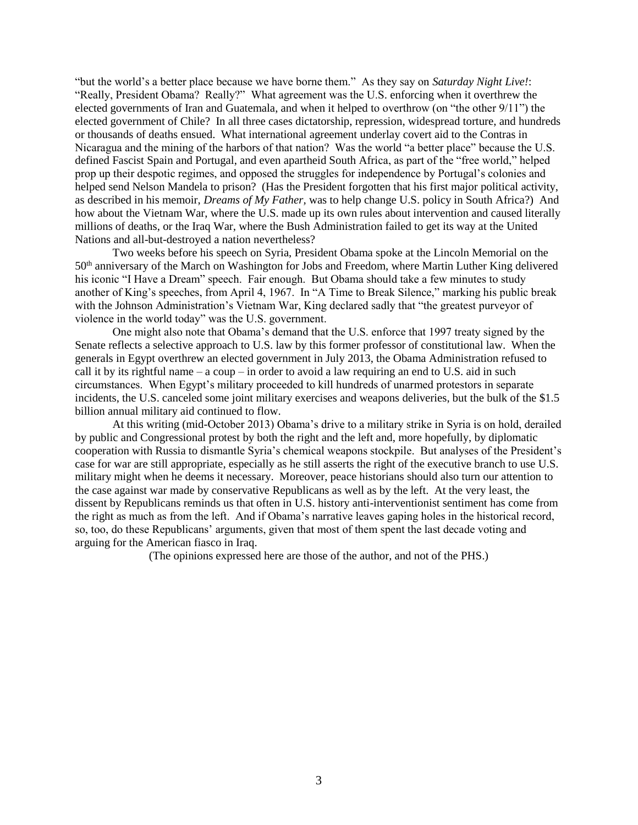"but the world's a better place because we have borne them." As they say on *Saturday Night Live!*: "Really, President Obama? Really?" What agreement was the U.S. enforcing when it overthrew the elected governments of Iran and Guatemala, and when it helped to overthrow (on "the other 9/11") the elected government of Chile? In all three cases dictatorship, repression, widespread torture, and hundreds or thousands of deaths ensued. What international agreement underlay covert aid to the Contras in Nicaragua and the mining of the harbors of that nation? Was the world "a better place" because the U.S. defined Fascist Spain and Portugal, and even apartheid South Africa, as part of the "free world," helped prop up their despotic regimes, and opposed the struggles for independence by Portugal's colonies and helped send Nelson Mandela to prison? (Has the President forgotten that his first major political activity, as described in his memoir, *Dreams of My Father,* was to help change U.S. policy in South Africa?) And how about the Vietnam War, where the U.S. made up its own rules about intervention and caused literally millions of deaths, or the Iraq War, where the Bush Administration failed to get its way at the United Nations and all-but-destroyed a nation nevertheless?

Two weeks before his speech on Syria, President Obama spoke at the Lincoln Memorial on the 50th anniversary of the March on Washington for Jobs and Freedom, where Martin Luther King delivered his iconic "I Have a Dream" speech. Fair enough. But Obama should take a few minutes to study another of King's speeches, from April 4, 1967. In "A Time to Break Silence," marking his public break with the Johnson Administration's Vietnam War, King declared sadly that "the greatest purveyor of violence in the world today" was the U.S. government.

One might also note that Obama's demand that the U.S. enforce that 1997 treaty signed by the Senate reflects a selective approach to U.S. law by this former professor of constitutional law. When the generals in Egypt overthrew an elected government in July 2013, the Obama Administration refused to call it by its rightful name – a coup – in order to avoid a law requiring an end to U.S. aid in such circumstances. When Egypt's military proceeded to kill hundreds of unarmed protestors in separate incidents, the U.S. canceled some joint military exercises and weapons deliveries, but the bulk of the \$1.5 billion annual military aid continued to flow.

At this writing (mid-October 2013) Obama's drive to a military strike in Syria is on hold, derailed by public and Congressional protest by both the right and the left and, more hopefully, by diplomatic cooperation with Russia to dismantle Syria's chemical weapons stockpile. But analyses of the President's case for war are still appropriate, especially as he still asserts the right of the executive branch to use U.S. military might when he deems it necessary. Moreover, peace historians should also turn our attention to the case against war made by conservative Republicans as well as by the left. At the very least, the dissent by Republicans reminds us that often in U.S. history anti-interventionist sentiment has come from the right as much as from the left. And if Obama's narrative leaves gaping holes in the historical record, so, too, do these Republicans' arguments, given that most of them spent the last decade voting and arguing for the American fiasco in Iraq.

(The opinions expressed here are those of the author, and not of the PHS.)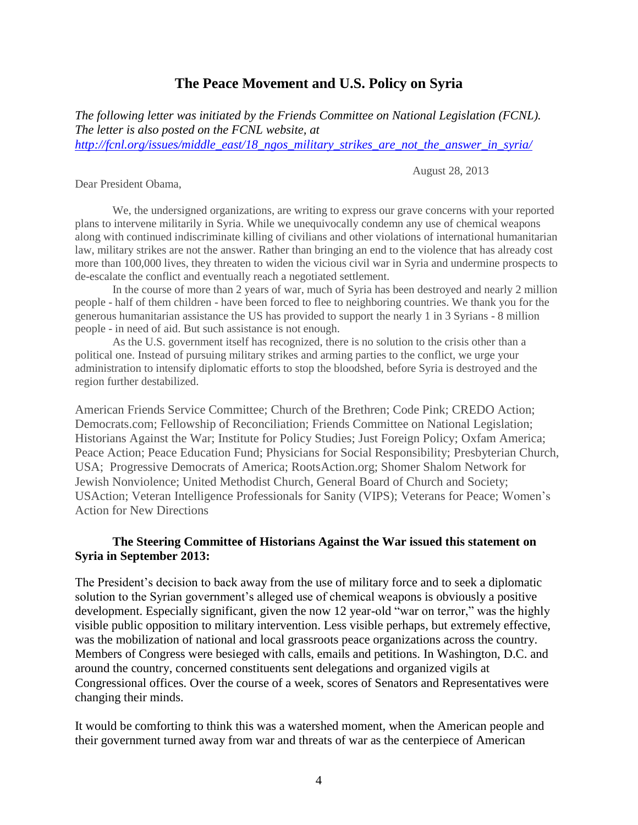## **The Peace Movement and U.S. Policy on Syria**

*The following letter was initiated by the Friends Committee on National Legislation (FCNL). The letter is also posted on the FCNL website, at [http://fcnl.org/issues/middle\\_east/18\\_ngos\\_military\\_strikes\\_are\\_not\\_the\\_answer\\_in\\_syria/](http://fcnl.org/issues/middle_east/18_ngos_military_strikes_are_not_the_answer_in_syria/)*

August 28, 2013

Dear President Obama,

We, the undersigned organizations, are writing to express our grave concerns with your reported plans to intervene militarily in Syria. While we unequivocally condemn any use of chemical weapons along with continued indiscriminate killing of civilians and other violations of international humanitarian law, military strikes are not the answer. Rather than bringing an end to the violence that has already cost more than 100,000 lives, they threaten to widen the vicious civil war in Syria and undermine prospects to de-escalate the conflict and eventually reach a negotiated settlement.

In the course of more than 2 years of war, much of Syria has been destroyed and nearly 2 million people - half of them children - have been forced to flee to neighboring countries. We thank you for the generous humanitarian assistance the US has provided to support the nearly 1 in 3 Syrians - 8 million people - in need of aid. But such assistance is not enough.

As the U.S. government itself has recognized, there is no solution to the crisis other than a political one. Instead of pursuing military strikes and arming parties to the conflict, we urge your administration to intensify diplomatic efforts to stop the bloodshed, before Syria is destroyed and the region further destabilized.

American Friends Service Committee; Church of the Brethren; Code Pink; CREDO Action; Democrats.com; Fellowship of Reconciliation; Friends Committee on National Legislation; Historians Against the War; Institute for Policy Studies; Just Foreign Policy; Oxfam America; Peace Action; Peace Education Fund; Physicians for Social Responsibility; Presbyterian Church, USA; Progressive Democrats of America; RootsAction.org; Shomer Shalom Network for Jewish Nonviolence; United Methodist Church, General Board of Church and Society; USAction; Veteran Intelligence Professionals for Sanity (VIPS); Veterans for Peace; Women's Action for New Directions

#### **The Steering Committee of Historians Against the War issued this statement on Syria in September 2013:**

The President's decision to back away from the use of military force and to seek a diplomatic solution to the Syrian government's alleged use of chemical weapons is obviously a positive development. Especially significant, given the now 12 year-old "war on terror," was the highly visible public opposition to military intervention. Less visible perhaps, but extremely effective, was the mobilization of national and local grassroots peace organizations across the country. Members of Congress were besieged with calls, emails and petitions. In Washington, D.C. and around the country, concerned constituents sent delegations and organized vigils at Congressional offices. Over the course of a week, scores of Senators and Representatives were changing their minds.

It would be comforting to think this was a watershed moment, when the American people and their government turned away from war and threats of war as the centerpiece of American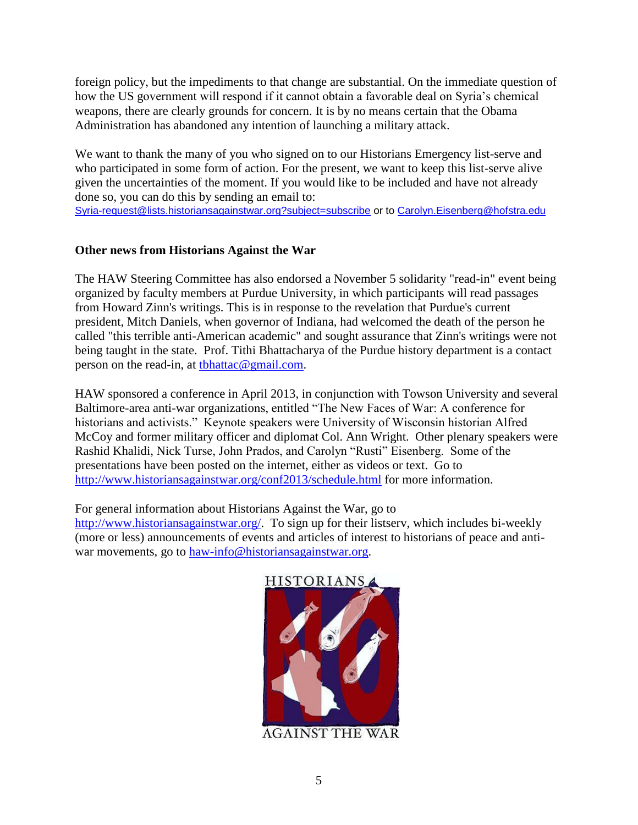foreign policy, but the impediments to that change are substantial. On the immediate question of how the US government will respond if it cannot obtain a favorable deal on Syria's chemical weapons, there are clearly grounds for concern. It is by no means certain that the Obama Administration has abandoned any intention of launching a military attack.

We want to thank the many of you who signed on to our Historians Emergency list-serve and who participated in some form of action. For the present, we want to keep this list-serve alive given the uncertainties of the moment. If you would like to be included and have not already done so, you can do this by sending an email to:

[Syria-request@lists.historiansagainstwar.org?subject=subscribe](https://mail.ship.edu/owa/redir.aspx?C=_cbaMF7Hg02Pv2PnLFK0_v8hLnOrnNAIJkMoGxAlAMku2Mck7Y4er6djsgKH3ZDjr8w0MWlMZn8.&URL=mailto%3aSyria-request%40lists.historiansagainstwar.org%3fsubject%3dsubscribe) or to [Carolyn.Eisenberg@hofstra.edu](https://mail.ship.edu/owa/redir.aspx?C=_cbaMF7Hg02Pv2PnLFK0_v8hLnOrnNAIJkMoGxAlAMku2Mck7Y4er6djsgKH3ZDjr8w0MWlMZn8.&URL=mailto%3aCarolyn.Eisenberg%40hofstra.edu)

#### **Other news from Historians Against the War**

The HAW Steering Committee has also endorsed a November 5 solidarity "read-in" event being organized by faculty members at Purdue University, in which participants will read passages from Howard Zinn's writings. This is in response to the revelation that Purdue's current president, Mitch Daniels, when governor of Indiana, had welcomed the death of the person he called "this terrible anti-American academic" and sought assurance that Zinn's writings were not being taught in the state. Prof. Tithi Bhattacharya of the Purdue history department is a contact person on the read-in, at [tbhattac@gmail.com.](https://mail.ship.edu/owa/redir.aspx?C=lt_GgzDc_kWp_3fAdo8yMHFrdIiTbNAIAjgMKIEEvOQq0qmD0obDhe43ZekoQZO1kLNj9_nZC34.&URL=mailto%3atbhattac%40gmail.com)

HAW sponsored a conference in April 2013, in conjunction with Towson University and several Baltimore-area anti-war organizations, entitled "The New Faces of War: A conference for historians and activists." Keynote speakers were University of Wisconsin historian Alfred McCoy and former military officer and diplomat Col. Ann Wright. Other plenary speakers were Rashid Khalidi, Nick Turse, John Prados, and Carolyn "Rusti" Eisenberg. Some of the presentations have been posted on the internet, either as videos or text. Go to <http://www.historiansagainstwar.org/conf2013/schedule.html> for more information.

For general information about Historians Against the War, go to [http://www.historiansagainstwar.org/.](http://www.historiansagainstwar.org/) To sign up for their listserv, which includes bi-weekly (more or less) announcements of events and articles of interest to historians of peace and antiwar movements, go to [haw-info@historiansagainstwar.org.](mailto:haw-info@historiansagainstwar.org)



**AGAINST THE WAR**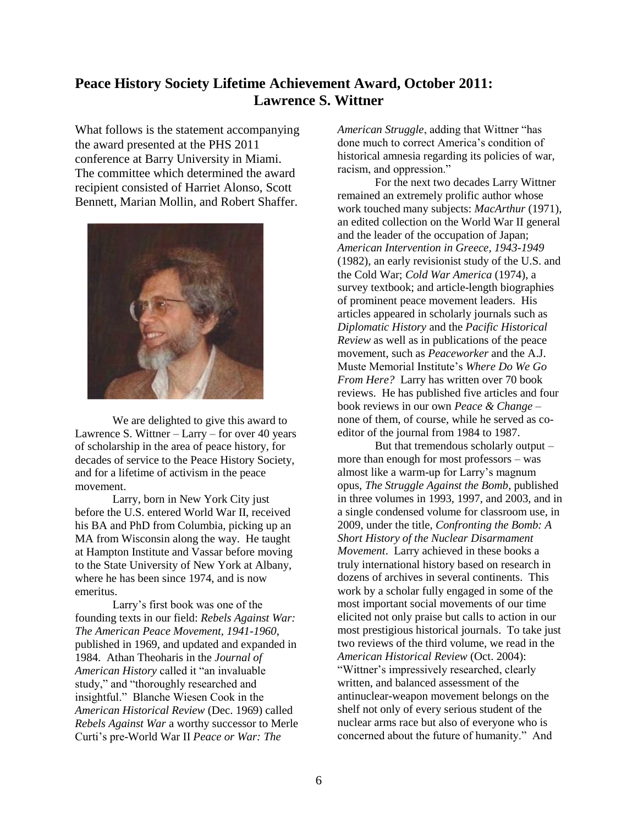## **Peace History Society Lifetime Achievement Award, October 2011: Lawrence S. Wittner**

What follows is the statement accompanying the award presented at the PHS 2011 conference at Barry University in Miami. The committee which determined the award recipient consisted of Harriet Alonso, Scott Bennett, Marian Mollin, and Robert Shaffer.



We are delighted to give this award to Lawrence S. Wittner  $-$  Larry  $-$  for over 40 years of scholarship in the area of peace history, for decades of service to the Peace History Society, and for a lifetime of activism in the peace movement.

Larry, born in New York City just before the U.S. entered World War II, received his BA and PhD from Columbia, picking up an MA from Wisconsin along the way. He taught at Hampton Institute and Vassar before moving to the State University of New York at Albany, where he has been since 1974, and is now emeritus.

Larry's first book was one of the founding texts in our field: *Rebels Against War: The American Peace Movement, 1941-1960*, published in 1969, and updated and expanded in 1984. Athan Theoharis in the *Journal of American History* called it "an invaluable study," and "thoroughly researched and insightful." Blanche Wiesen Cook in the *American Historical Review* (Dec. 1969) called *Rebels Against War* a worthy successor to Merle Curti's pre-World War II *Peace or War: The* 

*American Struggle*, adding that Wittner "has done much to correct America's condition of historical amnesia regarding its policies of war, racism, and oppression."

For the next two decades Larry Wittner remained an extremely prolific author whose work touched many subjects: *MacArthur* (1971), an edited collection on the World War II general and the leader of the occupation of Japan; *American Intervention in Greece, 1943-1949* (1982), an early revisionist study of the U.S. and the Cold War; *Cold War America* (1974), a survey textbook; and article-length biographies of prominent peace movement leaders. His articles appeared in scholarly journals such as *Diplomatic History* and the *Pacific Historical Review* as well as in publications of the peace movement, such as *Peaceworker* and the A.J. Muste Memorial Institute's *Where Do We Go From Here?* Larry has written over 70 book reviews. He has published five articles and four book reviews in our own *Peace & Change* – none of them, of course, while he served as coeditor of the journal from 1984 to 1987.

But that tremendous scholarly output – more than enough for most professors – was almost like a warm-up for Larry's magnum opus, *The Struggle Against the Bomb*, published in three volumes in 1993, 1997, and 2003, and in a single condensed volume for classroom use, in 2009, under the title, *Confronting the Bomb: A Short History of the Nuclear Disarmament Movement*. Larry achieved in these books a truly international history based on research in dozens of archives in several continents. This work by a scholar fully engaged in some of the most important social movements of our time elicited not only praise but calls to action in our most prestigious historical journals. To take just two reviews of the third volume, we read in the *American Historical Review* (Oct. 2004): "Wittner's impressively researched, clearly written, and balanced assessment of the antinuclear-weapon movement belongs on the shelf not only of every serious student of the nuclear arms race but also of everyone who is concerned about the future of humanity." And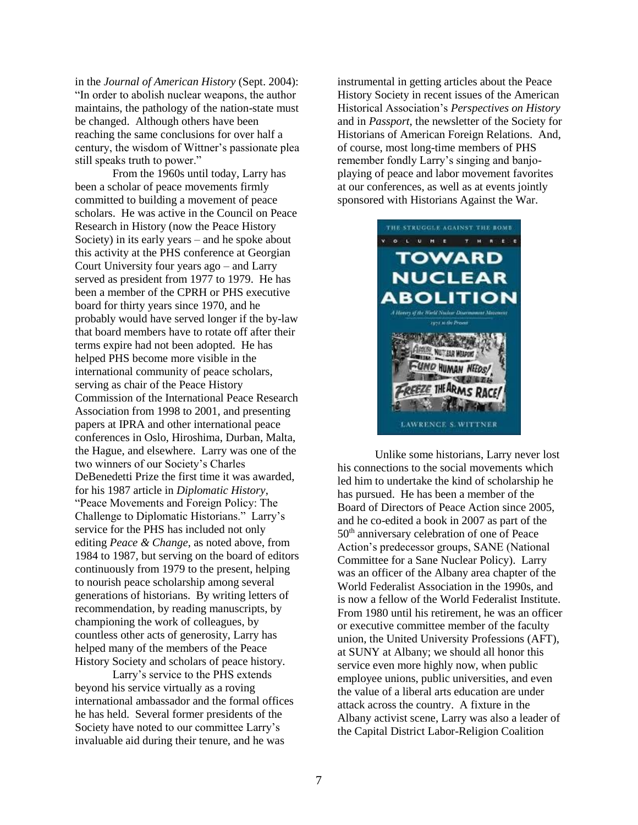in the *Journal of American History* (Sept. 2004): "In order to abolish nuclear weapons, the author maintains, the pathology of the nation-state must be changed. Although others have been reaching the same conclusions for over half a century, the wisdom of Wittner's passionate plea still speaks truth to power."

From the 1960s until today, Larry has been a scholar of peace movements firmly committed to building a movement of peace scholars. He was active in the Council on Peace Research in History (now the Peace History Society) in its early years – and he spoke about this activity at the PHS conference at Georgian Court University four years ago – and Larry served as president from 1977 to 1979. He has been a member of the CPRH or PHS executive board for thirty years since 1970, and he probably would have served longer if the by-law that board members have to rotate off after their terms expire had not been adopted. He has helped PHS become more visible in the international community of peace scholars, serving as chair of the Peace History Commission of the International Peace Research Association from 1998 to 2001, and presenting papers at IPRA and other international peace conferences in Oslo, Hiroshima, Durban, Malta, the Hague, and elsewhere. Larry was one of the two winners of our Society's Charles DeBenedetti Prize the first time it was awarded, for his 1987 article in *Diplomatic History*, "Peace Movements and Foreign Policy: The Challenge to Diplomatic Historians." Larry's service for the PHS has included not only editing *Peace & Change*, as noted above, from 1984 to 1987, but serving on the board of editors continuously from 1979 to the present, helping to nourish peace scholarship among several generations of historians. By writing letters of recommendation, by reading manuscripts, by championing the work of colleagues, by countless other acts of generosity, Larry has helped many of the members of the Peace History Society and scholars of peace history.

Larry's service to the PHS extends beyond his service virtually as a roving international ambassador and the formal offices he has held. Several former presidents of the Society have noted to our committee Larry's invaluable aid during their tenure, and he was

instrumental in getting articles about the Peace History Society in recent issues of the American Historical Association's *Perspectives on History* and in *Passport*, the newsletter of the Society for Historians of American Foreign Relations. And, of course, most long-time members of PHS remember fondly Larry's singing and banjoplaying of peace and labor movement favorites at our conferences, as well as at events jointly sponsored with Historians Against the War.



Unlike some historians, Larry never lost his connections to the social movements which led him to undertake the kind of scholarship he has pursued. He has been a member of the Board of Directors of Peace Action since 2005, and he co-edited a book in 2007 as part of the 50th anniversary celebration of one of Peace Action's predecessor groups, SANE (National Committee for a Sane Nuclear Policy). Larry was an officer of the Albany area chapter of the World Federalist Association in the 1990s, and is now a fellow of the World Federalist Institute. From 1980 until his retirement, he was an officer or executive committee member of the faculty union, the United University Professions (AFT), at SUNY at Albany; we should all honor this service even more highly now, when public employee unions, public universities, and even the value of a liberal arts education are under attack across the country. A fixture in the Albany activist scene, Larry was also a leader of the Capital District Labor-Religion Coalition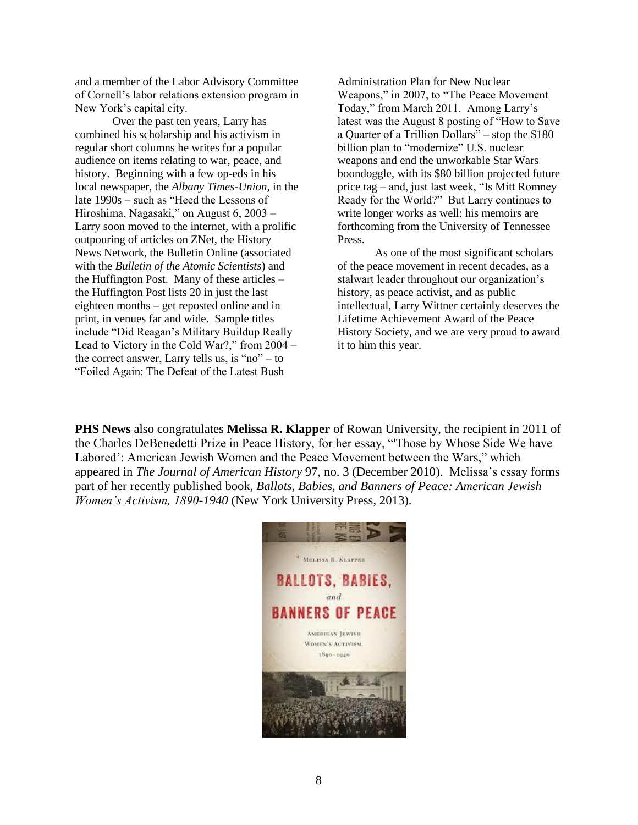and a member of the Labor Advisory Committee of Cornell's labor relations extension program in New York's capital city.

Over the past ten years, Larry has combined his scholarship and his activism in regular short columns he writes for a popular audience on items relating to war, peace, and history. Beginning with a few op-eds in his local newspaper, the *Albany Times-Union*, in the late 1990s – such as "Heed the Lessons of Hiroshima, Nagasaki," on August 6, 2003 – Larry soon moved to the internet, with a prolific outpouring of articles on ZNet, the History News Network, the Bulletin Online (associated with the *Bulletin of the Atomic Scientists*) and the Huffington Post. Many of these articles – the Huffington Post lists 20 in just the last eighteen months – get reposted online and in print, in venues far and wide. Sample titles include "Did Reagan's Military Buildup Really Lead to Victory in the Cold War?," from 2004 – the correct answer, Larry tells us, is "no"  $-$  to "Foiled Again: The Defeat of the Latest Bush

Administration Plan for New Nuclear Weapons," in 2007, to "The Peace Movement Today," from March 2011. Among Larry's latest was the August 8 posting of "How to Save a Quarter of a Trillion Dollars" – stop the \$180 billion plan to "modernize" U.S. nuclear weapons and end the unworkable Star Wars boondoggle, with its \$80 billion projected future price tag – and, just last week, "Is Mitt Romney Ready for the World?" But Larry continues to write longer works as well: his memoirs are forthcoming from the University of Tennessee Press.

As one of the most significant scholars of the peace movement in recent decades, as a stalwart leader throughout our organization's history, as peace activist, and as public intellectual, Larry Wittner certainly deserves the Lifetime Achievement Award of the Peace History Society, and we are very proud to award it to him this year.

**PHS News** also congratulates **Melissa R. Klapper** of Rowan University, the recipient in 2011 of the Charles DeBenedetti Prize in Peace History, for her essay, "'Those by Whose Side We have Labored': American Jewish Women and the Peace Movement between the Wars," which appeared in *The Journal of American History* 97, no. 3 (December 2010). Melissa's essay forms part of her recently published book, *Ballots, Babies, and Banners of Peace: American Jewish Women's Activism, 1890-1940* (New York University Press, 2013).

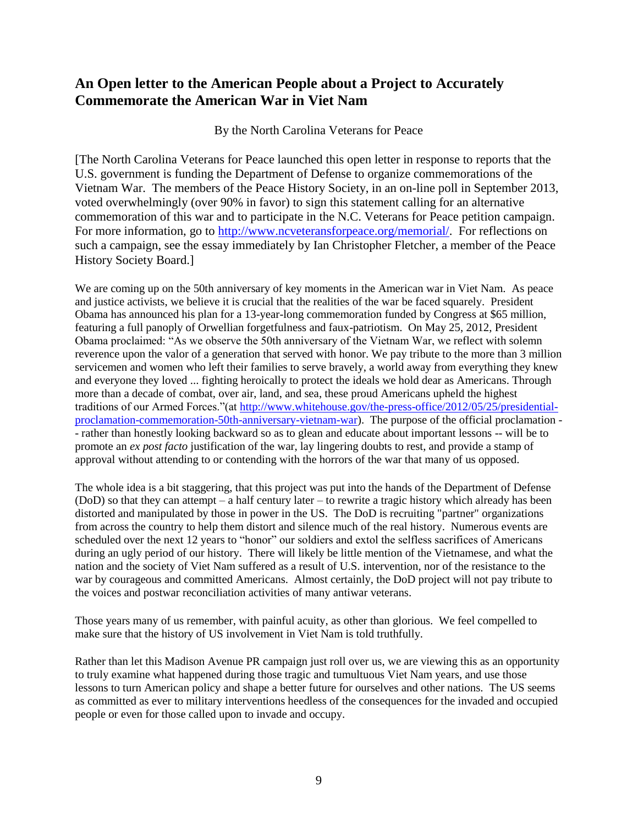## **An Open letter to the American People about a Project to Accurately Commemorate the American War in Viet Nam**

By the North Carolina Veterans for Peace

[The North Carolina Veterans for Peace launched this open letter in response to reports that the U.S. government is funding the Department of Defense to organize commemorations of the Vietnam War. The members of the Peace History Society, in an on-line poll in September 2013, voted overwhelmingly (over 90% in favor) to sign this statement calling for an alternative commemoration of this war and to participate in the N.C. Veterans for Peace petition campaign. For more information, go to [http://www.ncveteransforpeace.org/memorial/.](http://www.ncveteransforpeace.org/memorial/) For reflections on such a campaign, see the essay immediately by Ian Christopher Fletcher, a member of the Peace History Society Board.]

We are coming up on the 50th anniversary of key moments in the American war in Viet Nam. As peace and justice activists, we believe it is crucial that the realities of the war be faced squarely. President Obama has announced his plan for a 13-year-long commemoration funded by Congress at \$65 million, featuring a full panoply of Orwellian forgetfulness and faux-patriotism. On May 25, 2012, President Obama proclaimed: "As we observe the 50th anniversary of the Vietnam War, we reflect with solemn reverence upon the valor of a generation that served with honor. We pay tribute to the more than 3 million servicemen and women who left their families to serve bravely, a world away from everything they knew and everyone they loved ... fighting heroically to protect the ideals we hold dear as Americans. Through more than a decade of combat, over air, land, and sea, these proud Americans upheld the highest traditions of our Armed Forces."(at [http://www.whitehouse.gov/the-press-office/2012/05/25/presidential](http://www.whitehouse.gov/the-press-office/2012/05/25/presidential-proclamation-commemoration-50th-anniversary-vietnam-war)[proclamation-commemoration-50th-anniversary-vietnam-war\)](http://www.whitehouse.gov/the-press-office/2012/05/25/presidential-proclamation-commemoration-50th-anniversary-vietnam-war). The purpose of the official proclamation - - rather than honestly looking backward so as to glean and educate about important lessons -- will be to promote an *ex post facto* justification of the war, lay lingering doubts to rest, and provide a stamp of approval without attending to or contending with the horrors of the war that many of us opposed.

The whole idea is a bit staggering, that this project was put into the hands of the Department of Defense (DoD) so that they can attempt – a half century later – to rewrite a tragic history which already has been distorted and manipulated by those in power in the US. The DoD is recruiting "partner" organizations from across the country to help them distort and silence much of the real history. Numerous events are scheduled over the next 12 years to "honor" our soldiers and extol the selfless sacrifices of Americans during an ugly period of our history. There will likely be little mention of the Vietnamese, and what the nation and the society of Viet Nam suffered as a result of U.S. intervention, nor of the resistance to the war by courageous and committed Americans. Almost certainly, the DoD project will not pay tribute to the voices and postwar reconciliation activities of many antiwar veterans.

Those years many of us remember, with painful acuity, as other than glorious. We feel compelled to make sure that the history of US involvement in Viet Nam is told truthfully.

Rather than let this Madison Avenue PR campaign just roll over us, we are viewing this as an opportunity to truly examine what happened during those tragic and tumultuous Viet Nam years, and use those lessons to turn American policy and shape a better future for ourselves and other nations. The US seems as committed as ever to military interventions heedless of the consequences for the invaded and occupied people or even for those called upon to invade and occupy.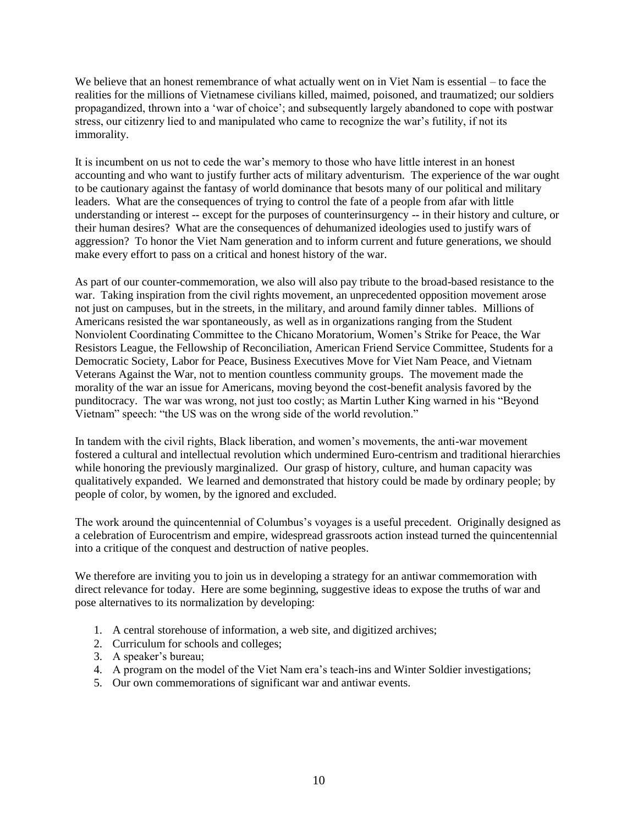We believe that an honest remembrance of what actually went on in Viet Nam is essential – to face the realities for the millions of Vietnamese civilians killed, maimed, poisoned, and traumatized; our soldiers propagandized, thrown into a 'war of choice'; and subsequently largely abandoned to cope with postwar stress, our citizenry lied to and manipulated who came to recognize the war's futility, if not its immorality.

It is incumbent on us not to cede the war's memory to those who have little interest in an honest accounting and who want to justify further acts of military adventurism. The experience of the war ought to be cautionary against the fantasy of world dominance that besots many of our political and military leaders. What are the consequences of trying to control the fate of a people from afar with little understanding or interest -- except for the purposes of counterinsurgency -- in their history and culture, or their human desires? What are the consequences of dehumanized ideologies used to justify wars of aggression? To honor the Viet Nam generation and to inform current and future generations, we should make every effort to pass on a critical and honest history of the war.

As part of our counter-commemoration, we also will also pay tribute to the broad-based resistance to the war. Taking inspiration from the civil rights movement, an unprecedented opposition movement arose not just on campuses, but in the streets, in the military, and around family dinner tables. Millions of Americans resisted the war spontaneously, as well as in organizations ranging from the Student Nonviolent Coordinating Committee to the Chicano Moratorium, Women's Strike for Peace, the War Resistors League, the Fellowship of Reconciliation, American Friend Service Committee, Students for a Democratic Society, Labor for Peace, Business Executives Move for Viet Nam Peace, and Vietnam Veterans Against the War, not to mention countless community groups. The movement made the morality of the war an issue for Americans, moving beyond the cost-benefit analysis favored by the punditocracy. The war was wrong, not just too costly; as Martin Luther King warned in his "Beyond Vietnam" speech: "the US was on the wrong side of the world revolution."

In tandem with the civil rights, Black liberation, and women's movements, the anti-war movement fostered a cultural and intellectual revolution which undermined Euro-centrism and traditional hierarchies while honoring the previously marginalized. Our grasp of history, culture, and human capacity was qualitatively expanded. We learned and demonstrated that history could be made by ordinary people; by people of color, by women, by the ignored and excluded.

The work around the quincentennial of Columbus's voyages is a useful precedent. Originally designed as a celebration of Eurocentrism and empire, widespread grassroots action instead turned the quincentennial into a critique of the conquest and destruction of native peoples.

We therefore are inviting you to join us in developing a strategy for an antiwar commemoration with direct relevance for today. Here are some beginning, suggestive ideas to expose the truths of war and pose alternatives to its normalization by developing:

- 1. A central storehouse of information, a web site, and digitized archives;
- 2. Curriculum for schools and colleges;
- 3. A speaker's bureau;
- 4. A program on the model of the Viet Nam era's teach-ins and Winter Soldier investigations;
- 5. Our own commemorations of significant war and antiwar events.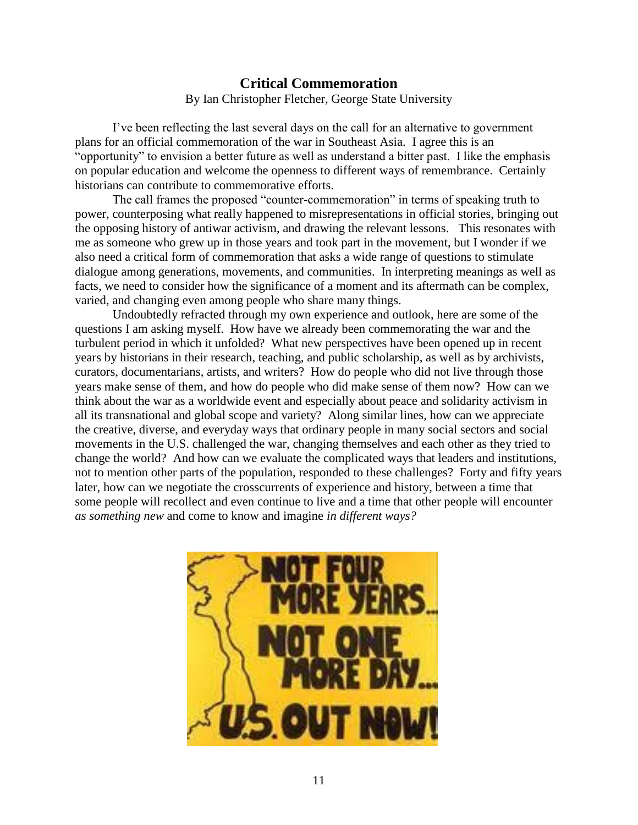## **Critical Commemoration** By Ian Christopher Fletcher, George State University

I've been reflecting the last several days on the call for an alternative to government plans for an official commemoration of the war in Southeast Asia. I agree this is an "opportunity" to envision a better future as well as understand a bitter past. I like the emphasis on popular education and welcome the openness to different ways of remembrance. Certainly historians can contribute to commemorative efforts.

The call frames the proposed "counter-commemoration" in terms of speaking truth to power, counterposing what really happened to misrepresentations in official stories, bringing out the opposing history of antiwar activism, and drawing the relevant lessons. This resonates with me as someone who grew up in those years and took part in the movement, but I wonder if we also need a critical form of commemoration that asks a wide range of questions to stimulate dialogue among generations, movements, and communities. In interpreting meanings as well as facts, we need to consider how the significance of a moment and its aftermath can be complex, varied, and changing even among people who share many things.

Undoubtedly refracted through my own experience and outlook, here are some of the questions I am asking myself. How have we already been commemorating the war and the turbulent period in which it unfolded? What new perspectives have been opened up in recent years by historians in their research, teaching, and public scholarship, as well as by archivists, curators, documentarians, artists, and writers? How do people who did not live through those years make sense of them, and how do people who did make sense of them now? How can we think about the war as a worldwide event and especially about peace and solidarity activism in all its transnational and global scope and variety? Along similar lines, how can we appreciate the creative, diverse, and everyday ways that ordinary people in many social sectors and social movements in the U.S. challenged the war, changing themselves and each other as they tried to change the world? And how can we evaluate the complicated ways that leaders and institutions, not to mention other parts of the population, responded to these challenges? Forty and fifty years later, how can we negotiate the crosscurrents of experience and history, between a time that some people will recollect and even continue to live and a time that other people will encounter *as something new* and come to know and imagine *in different ways?*

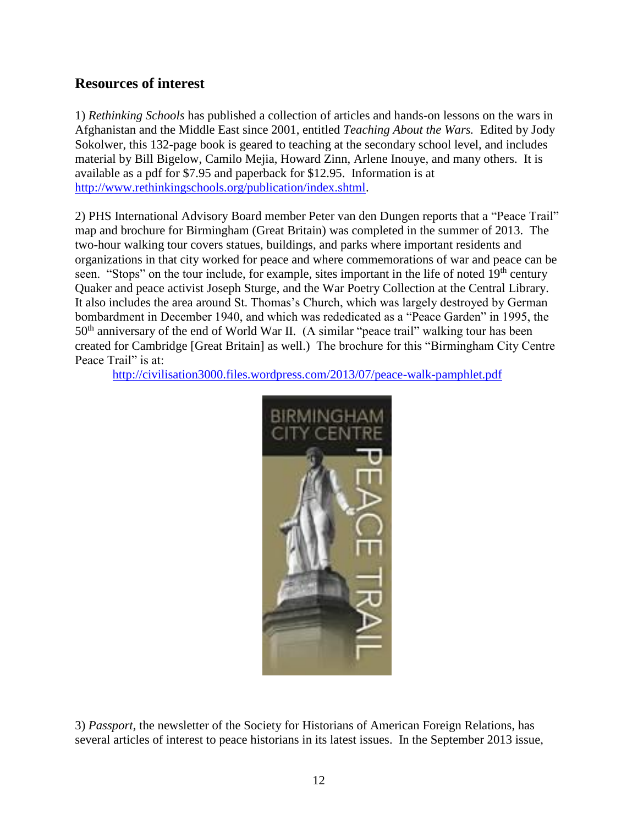## **Resources of interest**

1) *Rethinking Schools* has published a collection of articles and hands-on lessons on the wars in Afghanistan and the Middle East since 2001, entitled *Teaching About the Wars.* Edited by Jody Sokolwer, this 132-page book is geared to teaching at the secondary school level, and includes material by Bill Bigelow, Camilo Mejia, Howard Zinn, Arlene Inouye, and many others. It is available as a pdf for \$7.95 and paperback for \$12.95. Information is at [http://www.rethinkingschools.org/publication/index.shtml.](http://www.rethinkingschools.org/publication/index.shtml)

2) PHS International Advisory Board member Peter van den Dungen reports that a "Peace Trail" map and brochure for Birmingham (Great Britain) was completed in the summer of 2013. The two-hour walking tour covers statues, buildings, and parks where important residents and organizations in that city worked for peace and where commemorations of war and peace can be seen. "Stops" on the tour include, for example, sites important in the life of noted 19<sup>th</sup> century Quaker and peace activist Joseph Sturge, and the War Poetry Collection at the Central Library. It also includes the area around St. Thomas's Church, which was largely destroyed by German bombardment in December 1940, and which was rededicated as a "Peace Garden" in 1995, the  $50<sup>th</sup>$  anniversary of the end of World War II. (A similar "peace trail" walking tour has been created for Cambridge [Great Britain] as well.) The brochure for this "Birmingham City Centre Peace Trail" is at:

<http://civilisation3000.files.wordpress.com/2013/07/peace-walk-pamphlet.pdf>



3) *Passport,* the newsletter of the Society for Historians of American Foreign Relations, has several articles of interest to peace historians in its latest issues. In the September 2013 issue,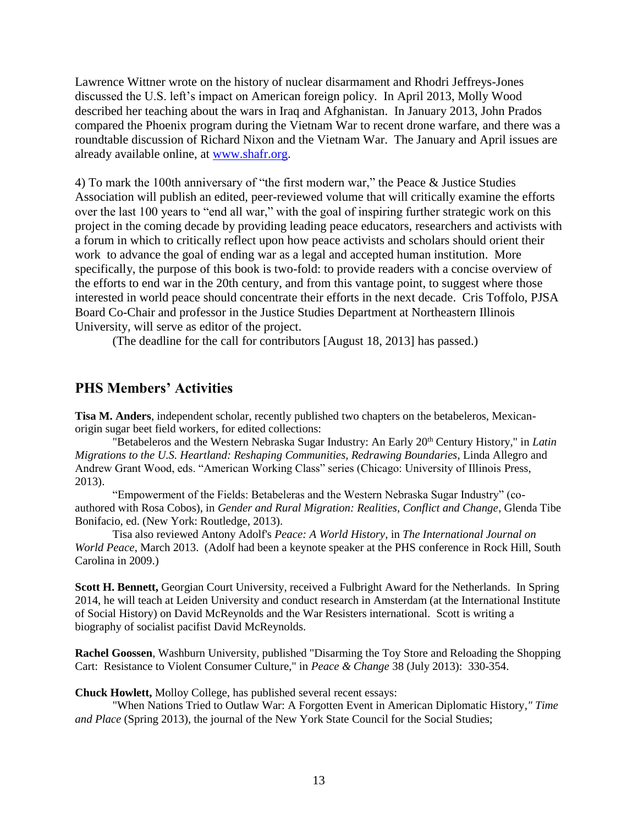Lawrence Wittner wrote on the history of nuclear disarmament and Rhodri Jeffreys-Jones discussed the U.S. left's impact on American foreign policy. In April 2013, Molly Wood described her teaching about the wars in Iraq and Afghanistan. In January 2013, John Prados compared the Phoenix program during the Vietnam War to recent drone warfare, and there was a roundtable discussion of Richard Nixon and the Vietnam War. The January and April issues are already available online, at [www.shafr.org.](http://www.shafr.org/)

4) To mark the 100th anniversary of "the first modern war," the Peace & Justice Studies Association will publish an edited, peer-reviewed volume that will critically examine the efforts over the last 100 years to "end all war," with the goal of inspiring further strategic work on this project in the coming decade by providing leading peace educators, researchers and activists with a forum in which to critically reflect upon how peace activists and scholars should orient their work to advance the goal of ending war as a legal and accepted human institution. More specifically, the purpose of this book is two-fold: to provide readers with a concise overview of the efforts to end war in the 20th century, and from this vantage point, to suggest where those interested in world peace should concentrate their efforts in the next decade. Cris Toffolo, PJSA Board Co-Chair and professor in the Justice Studies Department at Northeastern Illinois University, will serve as editor of the project.

(The deadline for the call for contributors [August 18, 2013] has passed.)

## **PHS Members' Activities**

**Tisa M. Anders**, independent scholar, recently published two chapters on the betabeleros, Mexicanorigin sugar beet field workers, for edited collections:

"Betabeleros and the Western Nebraska Sugar Industry: An Early 20th Century History," in *Latin Migrations to the U.S. Heartland: Reshaping Communities, Redrawing Boundaries*, Linda Allegro and Andrew Grant Wood, eds. "American Working Class" series (Chicago: University of Illinois Press, 2013).

"Empowerment of the Fields: Betabeleras and the Western Nebraska Sugar Industry" (coauthored with Rosa Cobos), in *Gender and Rural Migration: Realities, Conflict and Change*, Glenda Tibe Bonifacio, ed. (New York: Routledge, 2013).

Tisa also reviewed Antony Adolf's *Peace: A World History*, in *The International Journal on World Peace*, March 2013. (Adolf had been a keynote speaker at the PHS conference in Rock Hill, South Carolina in 2009.)

**Scott H. Bennett,** Georgian Court University, received a Fulbright Award for the Netherlands. In Spring 2014, he will teach at Leiden University and conduct research in Amsterdam (at the International Institute of Social History) on David McReynolds and the War Resisters international. Scott is writing a biography of socialist pacifist David McReynolds.

**Rachel Goossen**, Washburn University, published "Disarming the Toy Store and Reloading the Shopping Cart: Resistance to Violent Consumer Culture," in *Peace & Change* 38 (July 2013): 330-354.

**Chuck Howlett,** Molloy College, has published several recent essays:

"When Nations Tried to Outlaw War: A Forgotten Event in American Diplomatic History*," Time and Place* (Spring 2013), the journal of the New York State Council for the Social Studies;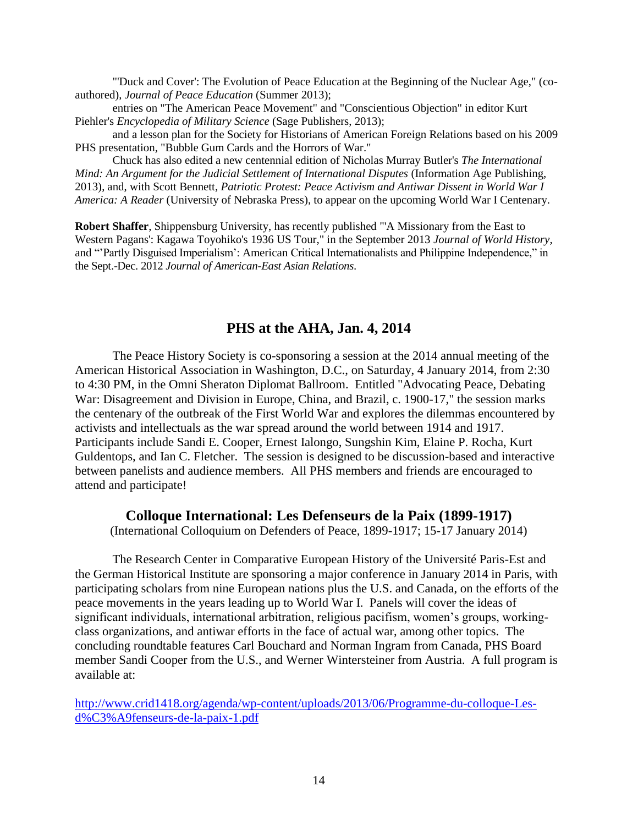"'Duck and Cover': The Evolution of Peace Education at the Beginning of the Nuclear Age," (coauthored), *Journal of Peace Education* (Summer 2013);

entries on "The American Peace Movement" and "Conscientious Objection" in editor Kurt Piehler's *Encyclopedia of Military Science* (Sage Publishers, 2013);

and a lesson plan for the Society for Historians of American Foreign Relations based on his 2009 PHS presentation, "Bubble Gum Cards and the Horrors of War."

Chuck has also edited a new centennial edition of Nicholas Murray Butler's *The International Mind: An Argument for the Judicial Settlement of International Disputes* (Information Age Publishing, 2013), and, with Scott Bennett, *Patriotic Protest: Peace Activism and Antiwar Dissent in World War I America: A Reader* (University of Nebraska Press), to appear on the upcoming World War I Centenary.

**Robert Shaffer**, Shippensburg University, has recently published "'A Missionary from the East to Western Pagans': Kagawa Toyohiko's 1936 US Tour," in the September 2013 *Journal of World History*, and "'Partly Disguised Imperialism': American Critical Internationalists and Philippine Independence," in the Sept.-Dec. 2012 *Journal of American-East Asian Relations*.

#### **PHS at the AHA, Jan. 4, 2014**

The Peace History Society is co-sponsoring a session at the 2014 annual meeting of the American Historical Association in Washington, D.C., on Saturday, 4 January 2014, from 2:30 to 4:30 PM, in the Omni Sheraton Diplomat Ballroom. Entitled "Advocating Peace, Debating War: Disagreement and Division in Europe, China, and Brazil, c. 1900-17," the session marks the centenary of the outbreak of the First World War and explores the dilemmas encountered by activists and intellectuals as the war spread around the world between 1914 and 1917. Participants include Sandi E. Cooper, Ernest Ialongo, Sungshin Kim, Elaine P. Rocha, Kurt Guldentops, and Ian C. Fletcher. The session is designed to be discussion-based and interactive between panelists and audience members. All PHS members and friends are encouraged to attend and participate!

#### **Colloque International: Les Defenseurs de la Paix (1899-1917)**

(International Colloquium on Defenders of Peace, 1899-1917; 15-17 January 2014)

The Research Center in Comparative European History of the Université Paris-Est and the German Historical Institute are sponsoring a major conference in January 2014 in Paris, with participating scholars from nine European nations plus the U.S. and Canada, on the efforts of the peace movements in the years leading up to World War I. Panels will cover the ideas of significant individuals, international arbitration, religious pacifism, women's groups, workingclass organizations, and antiwar efforts in the face of actual war, among other topics. The concluding roundtable features Carl Bouchard and Norman Ingram from Canada, PHS Board member Sandi Cooper from the U.S., and Werner Wintersteiner from Austria. A full program is available at:

[http://www.crid1418.org/agenda/wp-content/uploads/2013/06/Programme-du-colloque-Les](http://www.crid1418.org/agenda/wp-content/uploads/2013/06/Programme-du-colloque-Les-d%C3%A9fenseurs-de-la-paix-1.pdf)[d%C3%A9fenseurs-de-la-paix-1.pdf](http://www.crid1418.org/agenda/wp-content/uploads/2013/06/Programme-du-colloque-Les-d%C3%A9fenseurs-de-la-paix-1.pdf)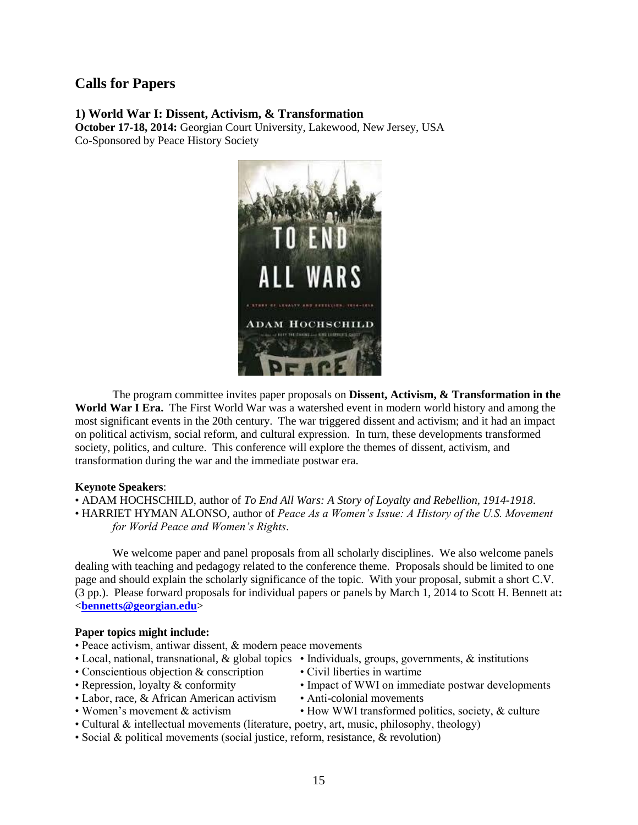## **Calls for Papers**

#### **1) World War I: Dissent, Activism, & Transformation**

**October 17-18, 2014:** Georgian Court University, Lakewood, New Jersey, USA Co-Sponsored by Peace History Society



The program committee invites paper proposals on **Dissent, Activism, & Transformation in the World War I Era.** The First World War was a watershed event in modern world history and among the most significant events in the 20th century. The war triggered dissent and activism; and it had an impact on political activism, social reform, and cultural expression. In turn, these developments transformed society, politics, and culture. This conference will explore the themes of dissent, activism, and transformation during the war and the immediate postwar era.

#### **Keynote Speakers**:

- ADAM HOCHSCHILD, author of *To End All Wars: A Story of Loyalty and Rebellion, 1914-1918*.
- HARRIET HYMAN ALONSO, author of *Peace As a Women's Issue: A History of the U.S. Movement for World Peace and Women's Rights*.

We welcome paper and panel proposals from all scholarly disciplines. We also welcome panels dealing with teaching and pedagogy related to the conference theme. Proposals should be limited to one page and should explain the scholarly significance of the topic. With your proposal, submit a short C.V. (3 pp.). Please forward proposals for individual papers or panels by March 1, 2014 to Scott H. Bennett at**:** <**[bennetts@georgian.edu](mailto:bennetts@georgian.edu)**>

#### **Paper topics might include:**

- Peace activism, antiwar dissent, & modern peace movements
- Local, national, transnational, & global topics Individuals, groups, governments, & institutions
- Conscientious objection & conscription Civil liberties in wartime
- Repression, loyalty & conformity Impact of WWI on immediate postwar developments
- Labor, race, & African American activism Anti-colonial movements
	-
- 
- Women's movement & activism How WWI transformed politics, society, & culture
- Cultural & intellectual movements (literature, poetry, art, music, philosophy, theology)
- Social & political movements (social justice, reform, resistance, & revolution)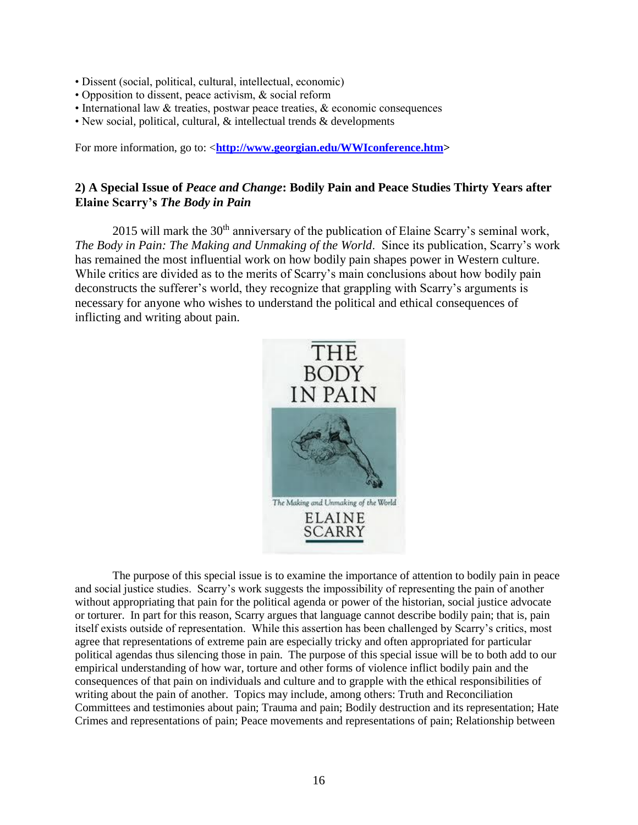- Dissent (social, political, cultural, intellectual, economic)
- Opposition to dissent, peace activism, & social reform
- International law & treaties, postwar peace treaties, & economic consequences
- New social, political, cultural, & intellectual trends & developments

For more information, go to: <**[http://www.georgian.edu/WWIconference.htm>](https://webmail.georgian.edu/exchweb/bin/redir.asp?URL=http://www.georgian.edu/WWIconference.htm)**

#### **2) A Special Issue of** *Peace and Change***: Bodily Pain and Peace Studies Thirty Years after Elaine Scarry's** *The Body in Pain*

2015 will mark the  $30<sup>th</sup>$  anniversary of the publication of Elaine Scarry's seminal work, *The Body in Pain: The Making and Unmaking of the World*. Since its publication, Scarry's work has remained the most influential work on how bodily pain shapes power in Western culture. While critics are divided as to the merits of Scarry's main conclusions about how bodily pain deconstructs the sufferer's world, they recognize that grappling with Scarry's arguments is necessary for anyone who wishes to understand the political and ethical consequences of inflicting and writing about pain.



The purpose of this special issue is to examine the importance of attention to bodily pain in peace and social justice studies. Scarry's work suggests the impossibility of representing the pain of another without appropriating that pain for the political agenda or power of the historian, social justice advocate or torturer. In part for this reason, Scarry argues that language cannot describe bodily pain; that is, pain itself exists outside of representation. While this assertion has been challenged by Scarry's critics, most agree that representations of extreme pain are especially tricky and often appropriated for particular political agendas thus silencing those in pain. The purpose of this special issue will be to both add to our empirical understanding of how war, torture and other forms of violence inflict bodily pain and the consequences of that pain on individuals and culture and to grapple with the ethical responsibilities of writing about the pain of another. Topics may include, among others: Truth and Reconciliation Committees and testimonies about pain; Trauma and pain; Bodily destruction and its representation; Hate Crimes and representations of pain; Peace movements and representations of pain; Relationship between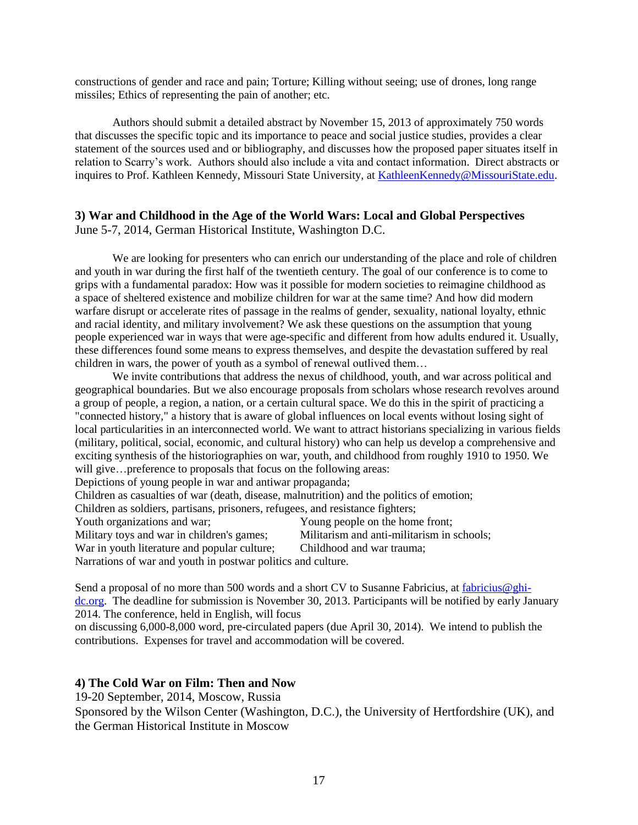constructions of gender and race and pain; Torture; Killing without seeing; use of drones, long range missiles; Ethics of representing the pain of another; etc.

Authors should submit a detailed abstract by November 15, 2013 of approximately 750 words that discusses the specific topic and its importance to peace and social justice studies, provides a clear statement of the sources used and or bibliography, and discusses how the proposed paper situates itself in relation to Scarry's work. Authors should also include a vita and contact information. Direct abstracts or inquires to Prof. Kathleen Kennedy, Missouri State University, at [KathleenKennedy@MissouriState.edu.](mailto:KathleenKennedy@MissouriState.edu)

#### **3) War and Childhood in the Age of the World Wars: Local and Global Perspectives** June 5-7, 2014, German Historical Institute, Washington D.C.

We are looking for presenters who can enrich our understanding of the place and role of children and youth in war during the first half of the twentieth century. The goal of our conference is to come to grips with a fundamental paradox: How was it possible for modern societies to reimagine childhood as a space of sheltered existence and mobilize children for war at the same time? And how did modern warfare disrupt or accelerate rites of passage in the realms of gender, sexuality, national loyalty, ethnic and racial identity, and military involvement? We ask these questions on the assumption that young people experienced war in ways that were age-specific and different from how adults endured it. Usually, these differences found some means to express themselves, and despite the devastation suffered by real children in wars, the power of youth as a symbol of renewal outlived them…

We invite contributions that address the nexus of childhood, youth, and war across political and geographical boundaries. But we also encourage proposals from scholars whose research revolves around a group of people, a region, a nation, or a certain cultural space. We do this in the spirit of practicing a "connected history," a history that is aware of global influences on local events without losing sight of local particularities in an interconnected world. We want to attract historians specializing in various fields (military, political, social, economic, and cultural history) who can help us develop a comprehensive and exciting synthesis of the historiographies on war, youth, and childhood from roughly 1910 to 1950. We will give...preference to proposals that focus on the following areas: Depictions of young people in war and antiwar propaganda;

Children as casualties of war (death, disease, malnutrition) and the politics of emotion;

Children as soldiers, partisans, prisoners, refugees, and resistance fighters;

Youth organizations and war; Young people on the home front;

Military toys and war in children's games; Militarism and anti-militarism in schools;

War in youth literature and popular culture; Childhood and war trauma;

Narrations of war and youth in postwar politics and culture.

Send a proposal of no more than 500 words and a short CV to Susanne Fabricius, at [fabricius@ghi](mailto:fabricius@ghi-dc.org)[dc.org.](mailto:fabricius@ghi-dc.org) The deadline for submission is November 30, 2013. Participants will be notified by early January 2014. The conference, held in English, will focus

on discussing 6,000-8,000 word, pre-circulated papers (due April 30, 2014). We intend to publish the contributions. Expenses for travel and accommodation will be covered.

#### **4) The Cold War on Film: Then and Now**

19-20 September, 2014, Moscow, Russia

Sponsored by the Wilson Center (Washington, D.C.), the University of Hertfordshire (UK), and the German Historical Institute in Moscow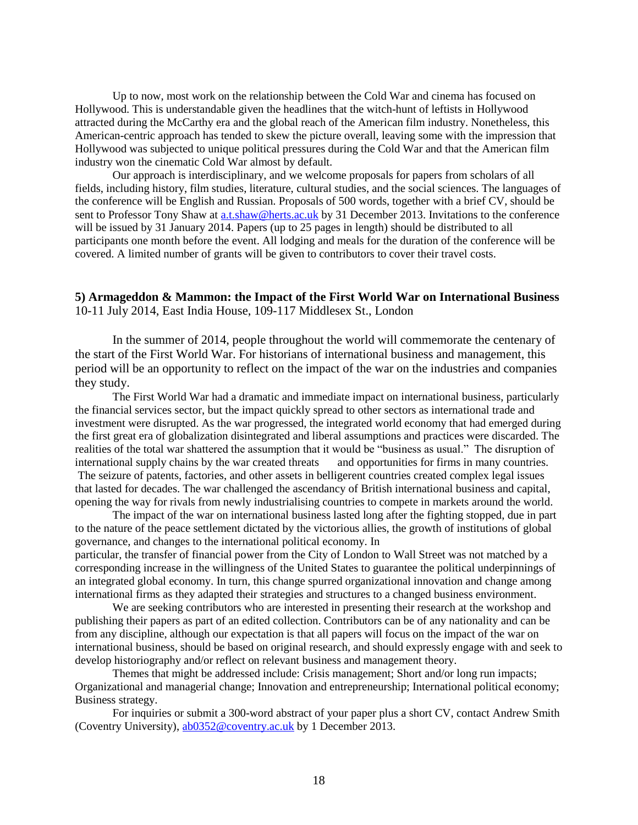Up to now, most work on the relationship between the Cold War and cinema has focused on Hollywood. This is understandable given the headlines that the witch-hunt of leftists in Hollywood attracted during the McCarthy era and the global reach of the American film industry. Nonetheless, this American-centric approach has tended to skew the picture overall, leaving some with the impression that Hollywood was subjected to unique political pressures during the Cold War and that the American film industry won the cinematic Cold War almost by default.

Our approach is interdisciplinary, and we welcome proposals for papers from scholars of all fields, including history, film studies, literature, cultural studies, and the social sciences. The languages of the conference will be English and Russian. Proposals of 500 words, together with a brief CV, should be sent to Professor Tony Shaw at [a.t.shaw@herts.ac.uk](mailto:a.t.shaw@herts.ac.uk) by 31 December 2013. Invitations to the conference will be issued by 31 January 2014. Papers (up to 25 pages in length) should be distributed to all participants one month before the event. All lodging and meals for the duration of the conference will be covered. A limited number of grants will be given to contributors to cover their travel costs.

#### **5) Armageddon & Mammon: the Impact of the First World War on International Business** 10-11 July 2014, East India House, 109-117 Middlesex St., London

In the summer of 2014, people throughout the world will commemorate the centenary of the start of the First World War. For historians of international business and management, this period will be an opportunity to reflect on the impact of the war on the industries and companies they study.

The First World War had a dramatic and immediate impact on international business, particularly the financial services sector, but the impact quickly spread to other sectors as international trade and investment were disrupted. As the war progressed, the integrated world economy that had emerged during the first great era of globalization disintegrated and liberal assumptions and practices were discarded. The realities of the total war shattered the assumption that it would be "business as usual." The disruption of international supply chains by the war created threats and opportunities for firms in many countries. The seizure of patents, factories, and other assets in belligerent countries created complex legal issues that lasted for decades. The war challenged the ascendancy of British international business and capital, opening the way for rivals from newly industrialising countries to compete in markets around the world.

The impact of the war on international business lasted long after the fighting stopped, due in part to the nature of the peace settlement dictated by the victorious allies, the growth of institutions of global governance, and changes to the international political economy. In particular, the transfer of financial power from the City of London to Wall Street was not matched by a corresponding increase in the willingness of the United States to guarantee the political underpinnings of an integrated global economy. In turn, this change spurred organizational innovation and change among international firms as they adapted their strategies and structures to a changed business environment.

We are seeking contributors who are interested in presenting their research at the workshop and publishing their papers as part of an edited collection. Contributors can be of any nationality and can be from any discipline, although our expectation is that all papers will focus on the impact of the war on international business, should be based on original research, and should expressly engage with and seek to develop historiography and/or reflect on relevant business and management theory.

Themes that might be addressed include: Crisis management; Short and/or long run impacts; Organizational and managerial change; Innovation and entrepreneurship; International political economy; Business strategy.

For inquiries or submit a 300-word abstract of your paper plus a short CV, contact Andrew Smith (Coventry University), [ab0352@coventry.ac.uk](https://mail.ship.edu/owa/redir.aspx?C=Nrt6WTts-E6pkRbANsFIGS6BeG_VnNAIqD5-3kR3XPHHCmhwNL2yzLOkgYkRtic_X4gXRgfp2fM.&URL=mailto%3aab0352%40coventry.ac.uk) by 1 December 2013.